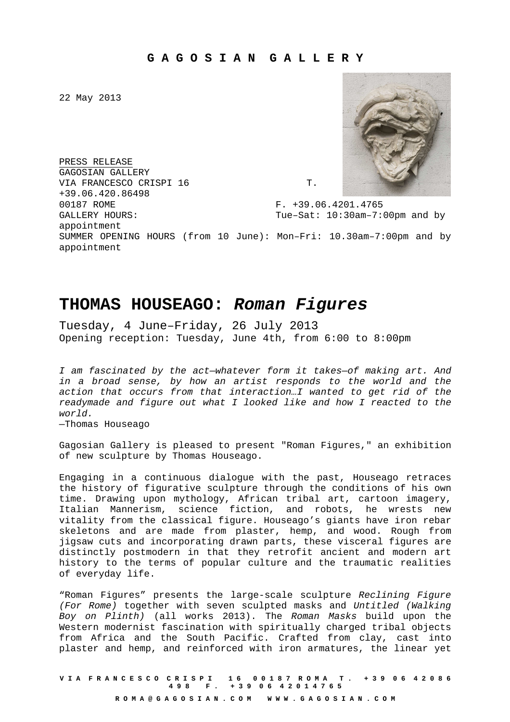22 May 2013

PRESS RELEASE GAGOSIAN GALLERY VIA FRANCESCO CRISPI 16 T. +39.06.420.86498 00187 ROME F. +39.06.4201.4765 GALLERY HOURS: Tue-Sat: 10:30am-7:00pm and by appointment SUMMER OPENING HOURS (from 10 June): Mon–Fri: 10.30am–7:00pm and by appointment



## **THOMAS HOUSEAGO: Roman Figures**

Tuesday, 4 June–Friday, 26 July 2013 Opening reception: Tuesday, June 4th, from 6:00 to 8:00pm

I am fascinated by the act—whatever form it takes—of making art. And in a broad sense, by how an artist responds to the world and the action that occurs from that interaction…I wanted to get rid of the readymade and figure out what I looked like and how I reacted to the world.

—Thomas Houseago

Gagosian Gallery is pleased to present "Roman Figures," an exhibition of new sculpture by Thomas Houseago.

Engaging in a continuous dialogue with the past, Houseago retraces the history of figurative sculpture through the conditions of his own time. Drawing upon mythology, African tribal art, cartoon imagery, Italian Mannerism, science fiction, and robots, he wrests new vitality from the classical figure. Houseago's giants have iron rebar skeletons and are made from plaster, hemp, and wood. Rough from jigsaw cuts and incorporating drawn parts, these visceral figures are distinctly postmodern in that they retrofit ancient and modern art history to the terms of popular culture and the traumatic realities of everyday life.

"Roman Figures" presents the large-scale sculpture Reclining Figure (For Rome) together with seven sculpted masks and Untitled (Walking Boy on Plinth) (all works 2013). The Roman Masks build upon the Western modernist fascination with spiritually charged tribal objects from Africa and the South Pacific. Crafted from clay, cast into plaster and hemp, and reinforced with iron armatures, the linear yet

**V I A F R A N C E S C O C R I S P I 1 6 0 0 1 8 7 R O M A T . + 3 9 0 6 4 2 0 8 6 4 9 8 F . + 3 9 0 6 4 2 0 1 4 7 6 5 R O M A @ G A G O S I A N . C O M W W W . G A G O S I A N . C O M**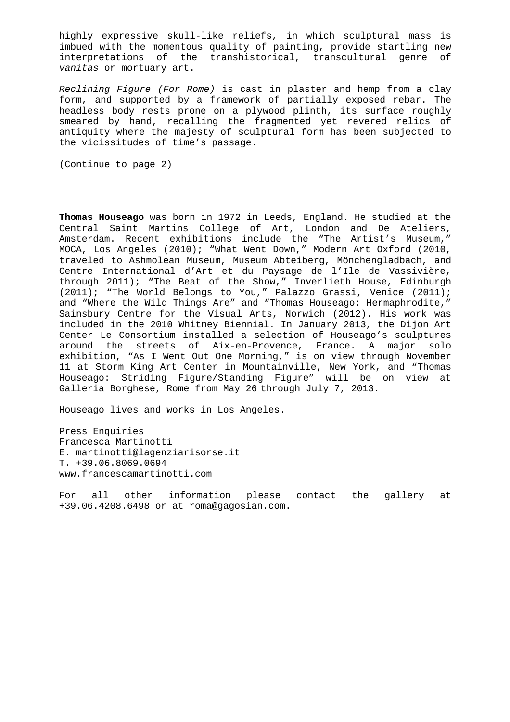highly expressive skull-like reliefs, in which sculptural mass is imbued with the momentous quality of painting, provide startling new interpretations of the transhistorical, transcultural genre of vanitas or mortuary art.

Reclining Figure (For Rome) is cast in plaster and hemp from a clay form, and supported by a framework of partially exposed rebar. The headless body rests prone on a plywood plinth, its surface roughly smeared by hand, recalling the fragmented yet revered relics of antiquity where the majesty of sculptural form has been subjected to the vicissitudes of time's passage.

(Continue to page 2)

**Thomas Houseago** was born in 1972 in Leeds, England. He studied at the Central Saint Martins College of Art, London and De Ateliers, Amsterdam. Recent exhibitions include the "The Artist's Museum," MOCA, Los Angeles (2010); "What Went Down," Modern Art Oxford (2010, traveled to Ashmolean Museum, Museum Abteiberg, Mönchengladbach, and Centre International d'Art et du Paysage de l'Ile de Vassivière, through 2011); "The Beat of the Show," Inverlieth House, Edinburgh (2011); "The World Belongs to You," Palazzo Grassi, Venice (2011); and "Where the Wild Things Are" and "Thomas Houseago: Hermaphrodite," Sainsbury Centre for the Visual Arts, Norwich (2012). His work was included in the 2010 Whitney Biennial. In January 2013, the Dijon Art Center Le Consortium installed a selection of Houseago's sculptures around the streets of Aix-en-Provence, France. A major solo exhibition, "As I Went Out One Morning," is on view through November 11 at Storm King Art Center in Mountainville, New York, and "Thomas Houseago: Striding Figure/Standing Figure" will be on view at Galleria Borghese, Rome from May 26 through July 7, 2013.

Houseago lives and works in Los Angeles.

Press Enquiries Francesca Martinotti E. martinotti@lagenziarisorse.it T. +39.06.8069.0694 www.francescamartinotti.com

For all other information please contact the gallery at +39.06.4208.6498 or at roma@gagosian.com.